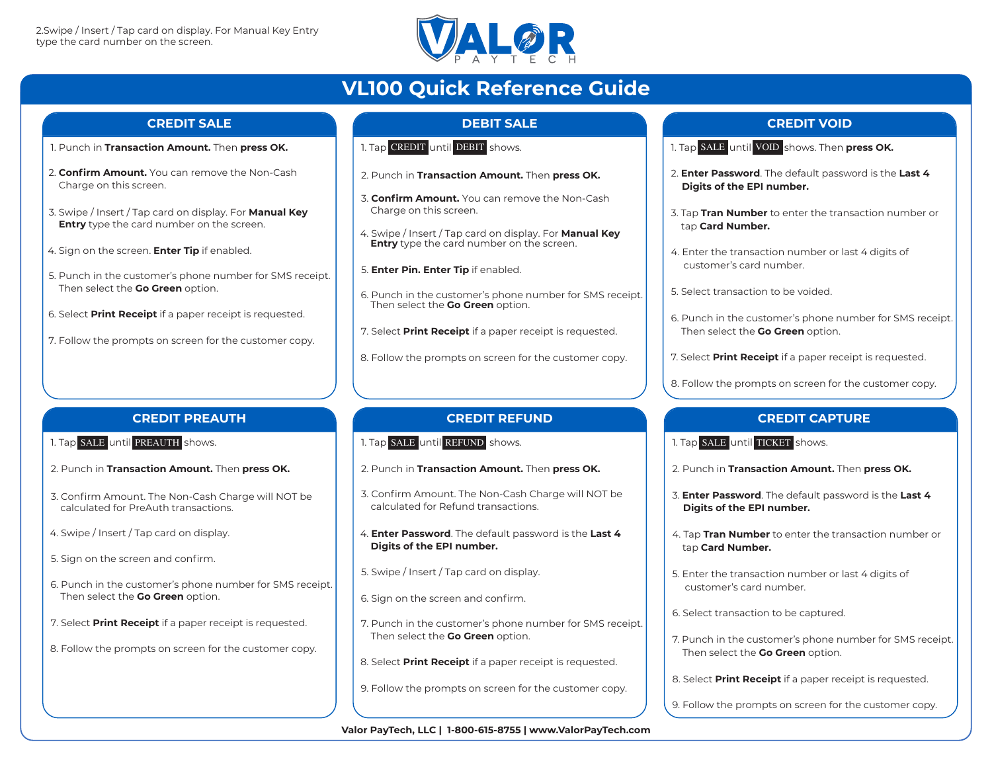

# **VL100 Quick Reference Guide**

#### **CREDIT SALE**

- 1. Punch in **Transaction Amount.** Then **press OK.**
- 2. **Confirm Amount.** You can remove the Non-Cash Charge on this screen.
- 3. Swipe / Insert / Tap card on display. For **Manual Key Entry** type the card number on the screen.
- 4. Sign on the screen. **Enter Tip** if enabled.
- 5. Punch in the customer's phone number for SMS receipt. Then select the **Go Green** option.
- 6. Select **Print Receipt** if a paper receipt is requested.
- 7. Follow the prompts on screen for the customer copy.

# **DEBIT SALE**

- 1. Tap CREDIT <mark>until</mark> DEBIT <mark>shows.</mark>
- 2. Punch in **Transaction Amount.** Then **press OK.**
- 3. **Confirm Amount.** You can remove the Non-Cash Charge on this screen.
- 4. Swipe / Insert / Tap card on display. For **Manual Key Entry** type the card number on the screen.
- 5. **Enter Pin. Enter Tip** if enabled.
- 6. Punch in the customer's phone number for SMS receipt. Then select the **Go Green** option.
- 7. Select **Print Receipt** if a paper receipt is requested.
- 8. Follow the prompts on screen for the customer copy.

## **CREDIT PREAUTH**

- 1. Tap SALE <mark>until</mark> PREAUTH shows.
- 2. Punch in **Transaction Amount.** Then **press OK.**
- 3. Confirm Amount. The Non-Cash Charge will NOT be calculated for PreAuth transactions.
- 4. Swipe / Insert / Tap card on display.
- 5. Sign on the screen and confirm.
- 6. Punch in the customer's phone number for SMS receipt. Then select the **Go Green** option.
- 7. Select **Print Receipt** if a paper receipt is requested.
- 8. Follow the prompts on screen for the customer copy.

## **CREDIT REFUND**

- 1. Tap SALE until REFUND shows.
- 2. Punch in **Transaction Amount.** Then **press OK.**
- 3. Confirm Amount. The Non-Cash Charge will NOT be calculated for Refund transactions.
- 4. **Enter Password**. The default password is the **Last 4 Digits of the EPI number.**
- 5. Swipe / Insert / Tap card on display.
- 6. Sign on the screen and confirm.
- 7. Punch in the customer's phone number for SMS receipt. Then select the **Go Green** option.
- 8. Select **Print Receipt** if a paper receipt is requested.
- 9. Follow the prompts on screen for the customer copy.

# **CREDIT VOID**

- 1. Tap SALE <mark>until</mark> VOID <mark>shows. Then **press OK.**</mark>
- 2. **Enter Password**. The default password is the **Last 4 Digits of the EPI number.**
- 3. Tap **Tran Number** to enter the transaction number or tap **Card Number.**
- 4. Enter the transaction number or last 4 digits of customer's card number.
- 5. Select transaction to be voided.
- 6. Punch in the customer's phone number for SMS receipt. Then select the **Go Green** option.
- 7. Select **Print Receipt** if a paper receipt is requested.
- 8. Follow the prompts on screen for the customer copy.

## **CREDIT CAPTURE**

1. Tap SALE until TICKET shows.

- 2. Punch in **Transaction Amount.** Then **press OK.**
- 3. **Enter Password**. The default password is the **Last 4 Digits of the EPI number.**
- 4. Tap **Tran Number** to enter the transaction number or tap **Card Number.**
- 5. Enter the transaction number or last 4 digits of customer's card number.
- 6. Select transaction to be captured.
- 7. Punch in the customer's phone number for SMS receipt. Then select the **Go Green** option.
- 8. Select **Print Receipt** if a paper receipt is requested.
- 9. Follow the prompts on screen for the customer copy.

**Valor PayTech, LLC | 1-800-615-8755 | www.ValorPayTech.com**